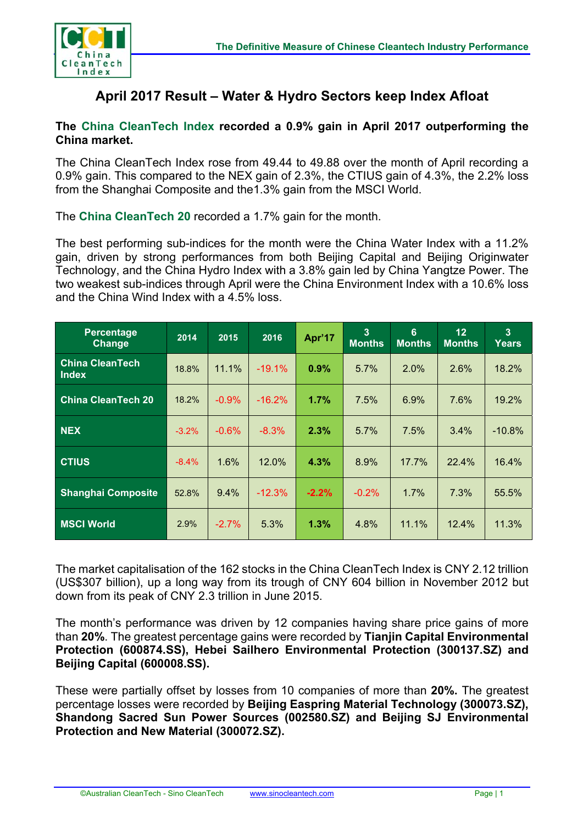

## **April 2017 Result – Water & Hydro Sectors keep Index Afloat**

## **The China CleanTech Index recorded a 0.9% gain in April 2017 outperforming the China market.**

The China CleanTech Index rose from 49.44 to 49.88 over the month of April recording a 0.9% gain. This compared to the NEX gain of 2.3%, the CTIUS gain of 4.3%, the 2.2% loss from the Shanghai Composite and the1.3% gain from the MSCI World.

The **China CleanTech 20** recorded a 1.7% gain for the month.

The best performing sub-indices for the month were the China Water Index with a 11.2% gain, driven by strong performances from both Beijing Capital and Beijing Originwater Technology, and the China Hydro Index with a 3.8% gain led by China Yangtze Power. The two weakest sub-indices through April were the China Environment Index with a 10.6% loss and the China Wind Index with a 4.5% loss.

| Percentage<br>Change                   | 2014    | 2015     | 2016     | Apr'17  | $\overline{3}$<br><b>Months</b> | $6\phantom{1}$<br><b>Months</b> | 12<br><b>Months</b> | $\overline{3}$<br>Years |
|----------------------------------------|---------|----------|----------|---------|---------------------------------|---------------------------------|---------------------|-------------------------|
| <b>China CleanTech</b><br><b>Index</b> | 18.8%   | 11.1%    | $-19.1%$ | 0.9%    | 5.7%                            | 2.0%                            | 2.6%                | 18.2%                   |
| <b>China CleanTech 20</b>              | 18.2%   | $-0.9%$  | $-16.2%$ | 1.7%    | 7.5%                            | 6.9%                            | 7.6%                | 19.2%                   |
| <b>NEX</b>                             | $-3.2%$ | $-0.6%$  | $-8.3%$  | 2.3%    | $5.7\%$                         | 7.5%                            | $3.4\%$             | $-10.8%$                |
| <b>CTIUS</b>                           | $-8.4%$ | 1.6%     | 12.0%    | 4.3%    | 8.9%                            | 17.7%                           | 22.4%               | 16.4%                   |
| <b>Shanghai Composite</b>              | 52.8%   | 9.4%     | $-12.3%$ | $-2.2%$ | $-0.2%$                         | 1.7%                            | 7.3%                | 55.5%                   |
| <b>MSCI World</b>                      | 2.9%    | $-2.7\%$ | 5.3%     | 1.3%    | 4.8%                            | 11.1%                           | 12.4%               | 11.3%                   |

The market capitalisation of the 162 stocks in the China CleanTech Index is CNY 2.12 trillion (US\$307 billion), up a long way from its trough of CNY 604 billion in November 2012 but down from its peak of CNY 2.3 trillion in June 2015.

The month's performance was driven by 12 companies having share price gains of more than **20%**. The greatest percentage gains were recorded by **Tianjin Capital Environmental Protection (600874.SS), Hebei Sailhero Environmental Protection (300137.SZ) and Beijing Capital (600008.SS).** 

These were partially offset by losses from 10 companies of more than **20%.** The greatest percentage losses were recorded by **Beijing Easpring Material Technology (300073.SZ), Shandong Sacred Sun Power Sources (002580.SZ) and Beijing SJ Environmental Protection and New Material (300072.SZ).**